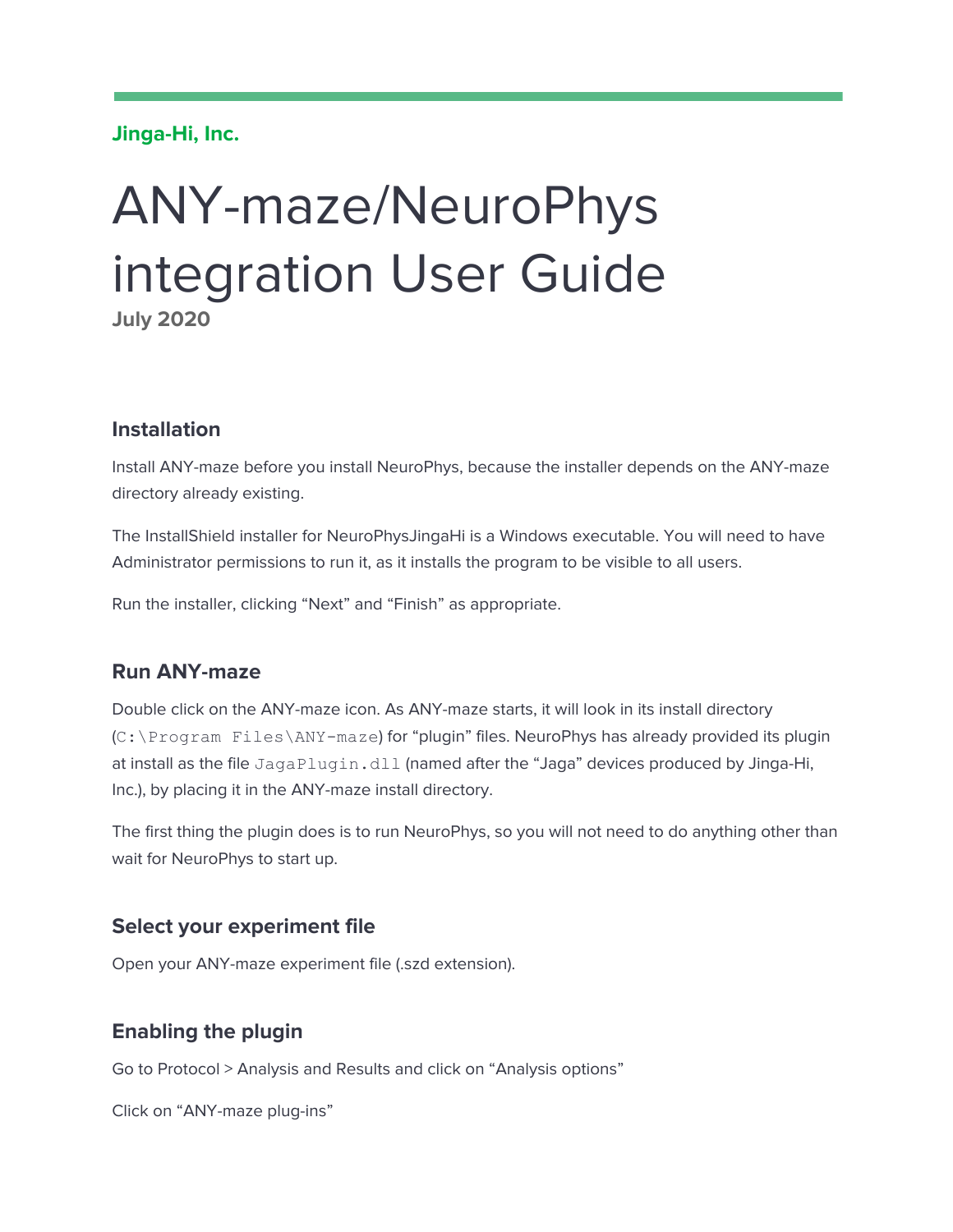#### **Jinga-Hi, Inc.**

# ANY-maze/NeuroPhys integration User Guide **July 2020**

### **Installation**

Install ANY-maze before you install NeuroPhys, because the installer depends on the ANY-maze directory already existing.

The InstallShield installer for NeuroPhysJingaHi is a Windows executable. You will need to have Administrator permissions to run it, as it installs the program to be visible to all users.

Run the installer, clicking "Next" and "Finish" as appropriate.

#### **Run ANY-maze**

Double click on the ANY-maze icon. As ANY-maze starts, it will look in its install directory (C:\Program Files\ANY-maze) for "plugin" files. NeuroPhys has already provided its plugin at install as the file JagaPlugin.dll (named after the "Jaga" devices produced by Jinga-Hi, Inc.), by placing it in the ANY-maze install directory.

The first thing the plugin does is to run NeuroPhys, so you will not need to do anything other than wait for NeuroPhys to start up.

#### **Select your experiment file**

Open your ANY-maze experiment file (.szd extension).

#### **Enabling the plugin**

Go to Protocol > Analysis and Results and click on "Analysis options"

Click on "ANY-maze plug-ins"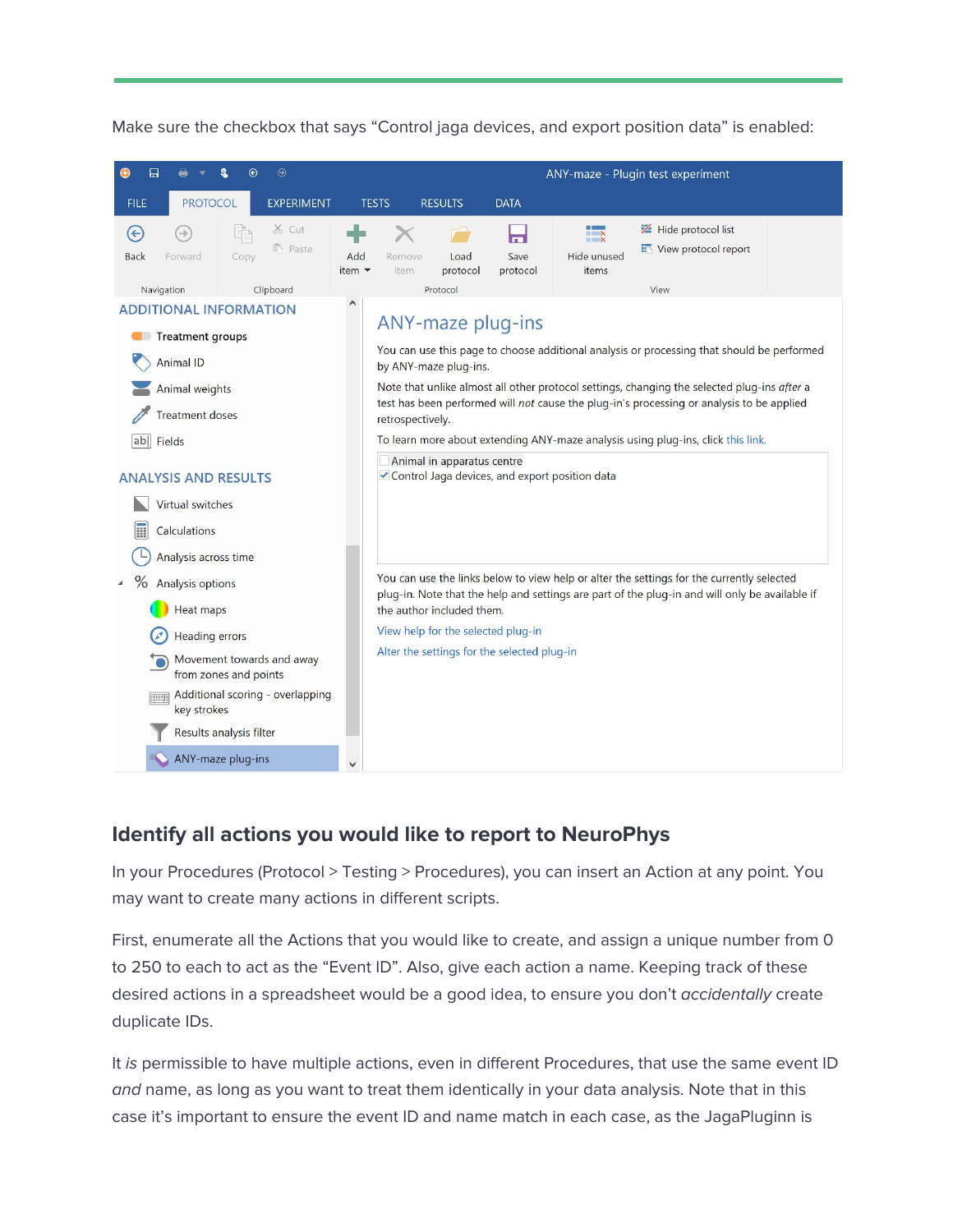



## **Identify all actions you would like to report to NeuroPhys**

In your Procedures (Protocol > Testing > Procedures), you can insert an Action at any point. You may want to create many actions in different scripts.

First, enumerate all the Actions that you would like to create, and assign a unique number from 0 to 250 to each to act as the "Event ID". Also, give each action a name. Keeping track of these desired actions in a spreadsheet would be a good idea, to ensure you don't accidentally create duplicate IDs.

It is permissible to have multiple actions, even in different Procedures, that use the same event ID and name, as long as you want to treat them identically in your data analysis. Note that in this case it's important to ensure the event ID and name match in each case, as the JagaPluginn is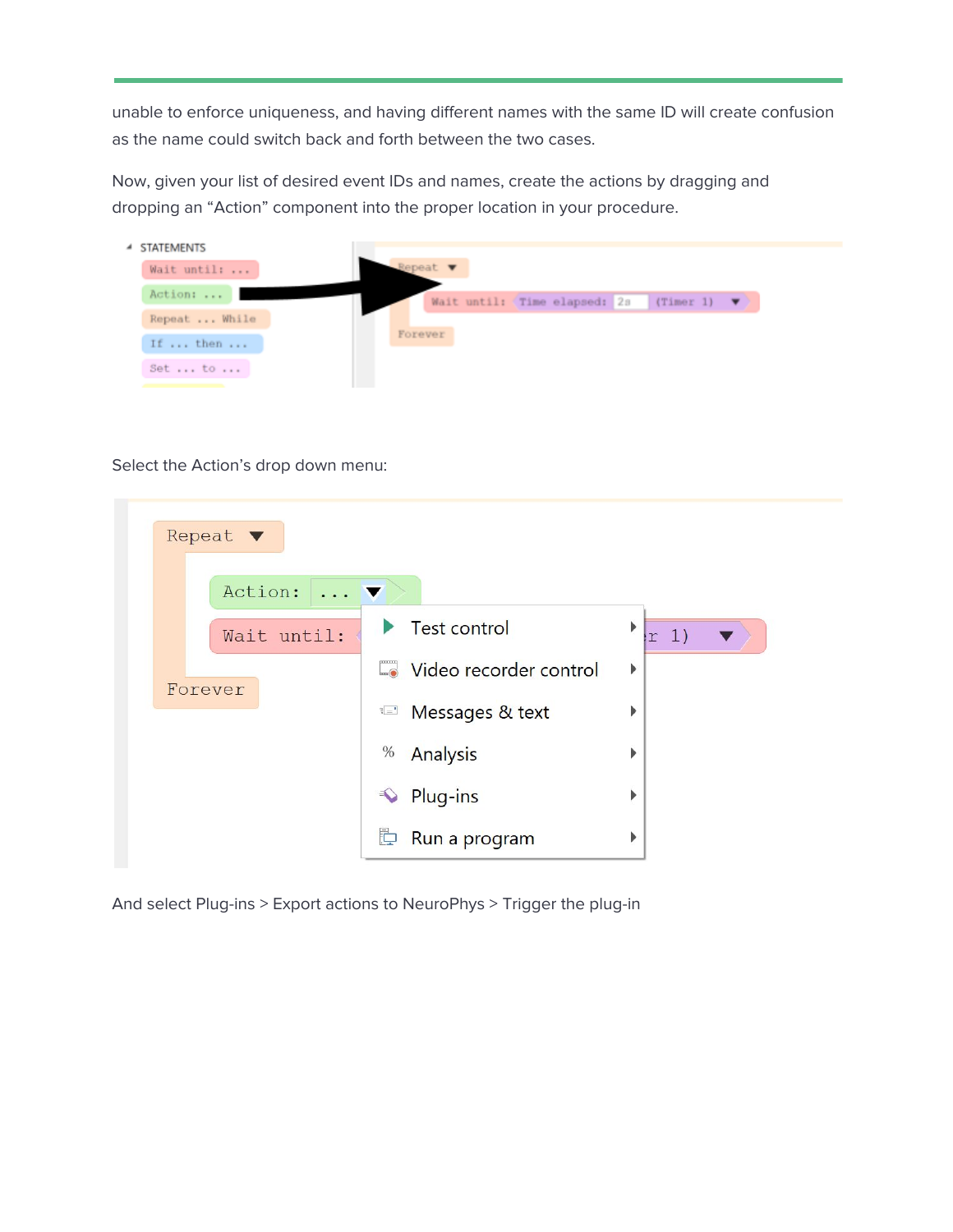unable to enforce uniqueness, and having different names with the same ID will create confusion as the name could switch back and forth between the two cases.

Now, given your list of desired event IDs and names, create the actions by dragging and dropping an "Action" component into the proper location in your procedure.

| 4 STATEMENTS  |  |                             |  |                               |                                  |  |
|---------------|--|-----------------------------|--|-------------------------------|----------------------------------|--|
| Wait until:   |  | Repeat $\blacktriangledown$ |  |                               |                                  |  |
| Action:       |  |                             |  | Wait until: (Time elapsed: 2s | $(Timer 1)$ $\blacktriangledown$ |  |
| Repeat  While |  |                             |  |                               |                                  |  |
| If  then      |  | Forever                     |  |                               |                                  |  |
| Set  to       |  |                             |  |                               |                                  |  |
|               |  |                             |  |                               |                                  |  |

Select the Action's drop down menu:

| Repeat $\blacktriangledown$              |                        |            |
|------------------------------------------|------------------------|------------|
| Action:<br>$\ldots$ $\blacktriangledown$ |                        |            |
| Wait until:                              | Test control           | ▶<br> r 1) |
| Forever                                  | Video recorder control | Þ          |
|                                          | Messages & text        | Þ          |
|                                          | $\%$<br>Analysis       | ▶          |
|                                          | Plug-ins<br>$\bigcirc$ | Þ          |
|                                          | Þ<br>Run a program     | ▶          |

And select Plug-ins > Export actions to NeuroPhys > Trigger the plug-in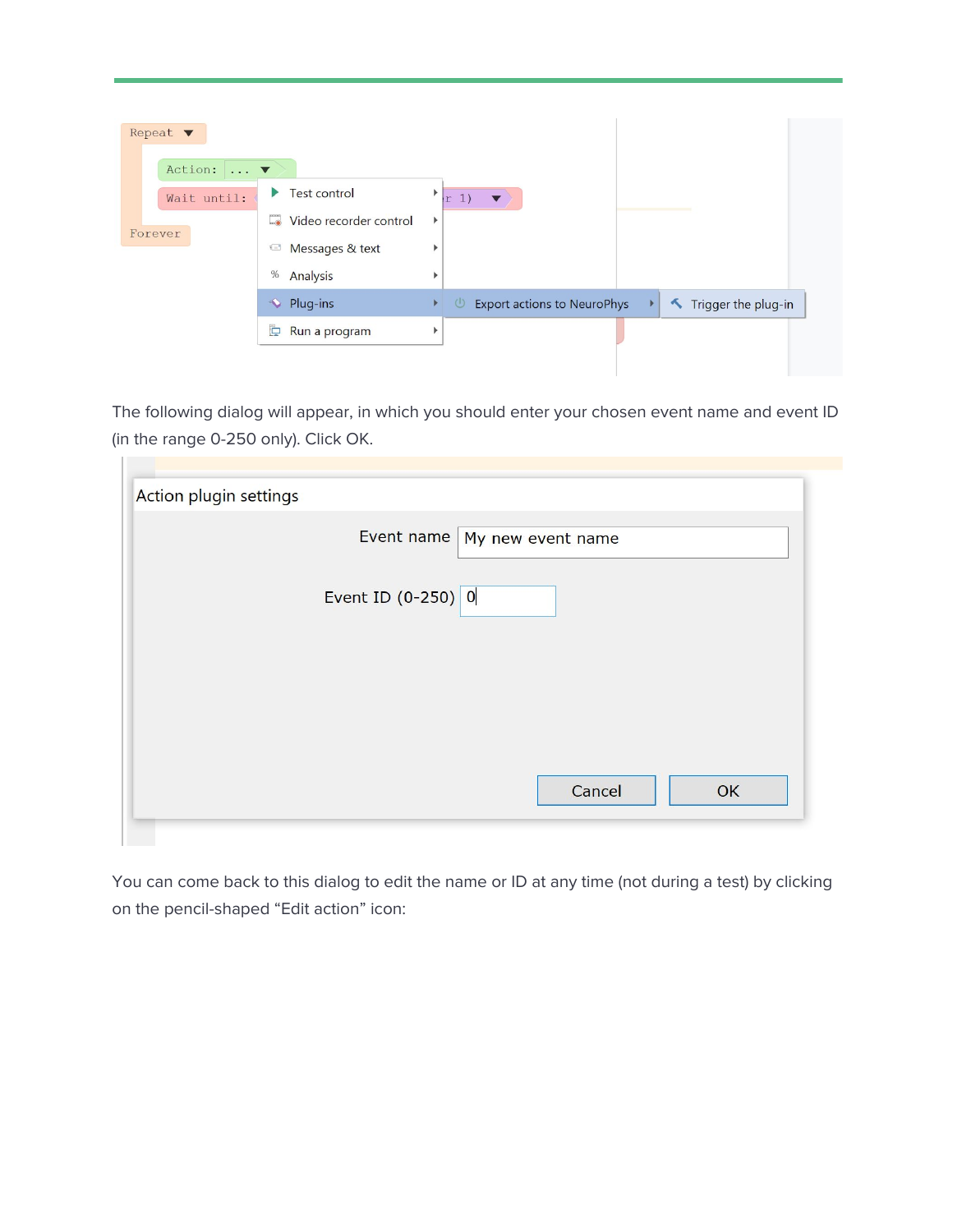| Repeat $\blacktriangledown$<br>Action:<br>$\ldots$ $\blacktriangledown$ |                                              |                                                                                   |
|-------------------------------------------------------------------------|----------------------------------------------|-----------------------------------------------------------------------------------|
| Wait until:                                                             | <b>Test control</b><br>▶                     | Þ<br>r(1)<br>$\overline{\phantom{a}}$                                             |
| Forever                                                                 | $\Box$<br>Video recorder control             | Þ                                                                                 |
|                                                                         | Messages & text<br>$\mathbf{t} = \mathbf{t}$ |                                                                                   |
|                                                                         | %<br>Analysis                                |                                                                                   |
|                                                                         | • Plug-ins                                   | <b>Export actions to NeuroPhys</b><br>Trigger the plug-in<br>$\bigcirc$<br>r<br>r |
|                                                                         | Þ<br>Run a program                           |                                                                                   |
|                                                                         |                                              |                                                                                   |

The following dialog will appear, in which you should enter your chosen event name and event ID (in the range 0-250 only). Click OK.

| Action plugin settings | Event name   My new event name |        |    |
|------------------------|--------------------------------|--------|----|
|                        | Event ID $(0-250)$ 0           |        |    |
|                        |                                | Cancel | OK |

You can come back to this dialog to edit the name or ID at any time (not during a test) by clicking on the pencil-shaped "Edit action" icon: